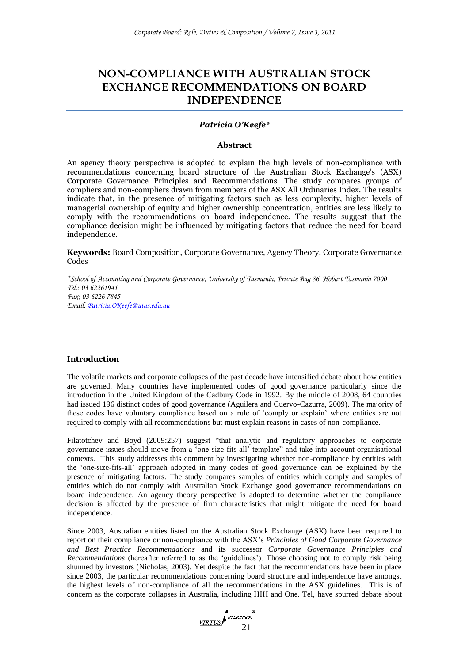# **NON-COMPLIANCE WITH AUSTRALIAN STOCK EXCHANGE RECOMMENDATIONS ON BOARD INDEPENDENCE**

### *Patricia O'Keefe\**

#### **Abstract**

An agency theory perspective is adopted to explain the high levels of non-compliance with recommendations concerning board structure of the Australian Stock Exchange's (ASX) Corporate Governance Principles and Recommendations. The study compares groups of compliers and non-compliers drawn from members of the ASX All Ordinaries Index. The results indicate that, in the presence of mitigating factors such as less complexity, higher levels of managerial ownership of equity and higher ownership concentration, entities are less likely to comply with the recommendations on board independence. The results suggest that the compliance decision might be influenced by mitigating factors that reduce the need for board independence.

**Keywords:** Board Composition, Corporate Governance, Agency Theory, Corporate Governance Codes

*\*School of Accounting and Corporate Governance, University of Tasmania, Private Bag 86, Hobart Tasmania 7000 Tel.: 03 62261941 Fax: 03 6226 7845 Email: [Patricia.OKeefe@utas.edu.au](mailto:Patricia.OKeefe@utas.edu.au)*

### **Introduction**

The volatile markets and corporate collapses of the past decade have intensified debate about how entities are governed. Many countries have implemented codes of good governance particularly since the introduction in the United Kingdom of the Cadbury Code in 1992. By the middle of 2008, 64 countries had issued 196 distinct codes of good governance (Aguilera and Cuervo-Cazurra, 2009). The majority of these codes have voluntary compliance based on a rule of ‗comply or explain' where entities are not required to comply with all recommendations but must explain reasons in cases of non-compliance.

Filatotchev and Boyd (2009:257) suggest "that analytic and regulatory approaches to corporate governance issues should move from a 'one-size-fits-all' template" and take into account organisational contexts. This study addresses this comment by investigating whether non-compliance by entities with the 'one-size-fits-all' approach adopted in many codes of good governance can be explained by the presence of mitigating factors. The study compares samples of entities which comply and samples of entities which do not comply with Australian Stock Exchange good governance recommendations on board independence. An agency theory perspective is adopted to determine whether the compliance decision is affected by the presence of firm characteristics that might mitigate the need for board independence.

Since 2003, Australian entities listed on the Australian Stock Exchange (ASX) have been required to report on their compliance or non-compliance with the ASX's *Principles of Good Corporate Governance and Best Practice Recommendations* and its successor *Corporate Governance Principles and Recommendations* (hereafter referred to as the ‗guidelines'). Those choosing not to comply risk being shunned by investors (Nicholas, 2003). Yet despite the fact that the recommendations have been in place since 2003, the particular recommendations concerning board structure and independence have amongst the highest levels of non-compliance of all the recommendations in the ASX guidelines. This is of concern as the corporate collapses in Australia, including HIH and One. Tel, have spurred debate about

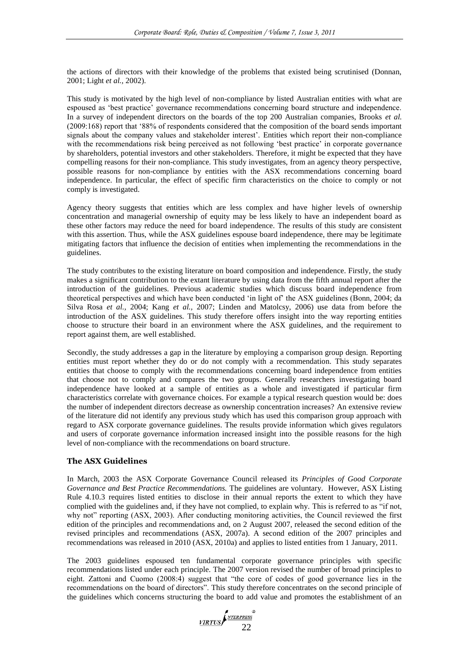the actions of directors with their knowledge of the problems that existed being scrutinised (Donnan, 2001; Light *et al.,* 2002).

This study is motivated by the high level of non-compliance by listed Australian entities with what are espoused as 'best practice' governance recommendations concerning board structure and independence. In a survey of independent directors on the boards of the top 200 Australian companies, Brooks *et al.* (2009:168) report that ‗88% of respondents considered that the composition of the board sends important signals about the company values and stakeholder interest'. Entities which report their non-compliance with the recommendations risk being perceived as not following 'best practice' in corporate governance by shareholders, potential investors and other stakeholders. Therefore, it might be expected that they have compelling reasons for their non-compliance. This study investigates, from an agency theory perspective, possible reasons for non-compliance by entities with the ASX recommendations concerning board independence. In particular, the effect of specific firm characteristics on the choice to comply or not comply is investigated.

Agency theory suggests that entities which are less complex and have higher levels of ownership concentration and managerial ownership of equity may be less likely to have an independent board as these other factors may reduce the need for board independence. The results of this study are consistent with this assertion. Thus, while the ASX guidelines espouse board independence, there may be legitimate mitigating factors that influence the decision of entities when implementing the recommendations in the guidelines.

The study contributes to the existing literature on board composition and independence. Firstly, the study makes a significant contribution to the extant literature by using data from the fifth annual report after the introduction of the guidelines. Previous academic studies which discuss board independence from theoretical perspectives and which have been conducted ‗in light of' the ASX guidelines (Bonn, 2004; da Silva Rosa *et al.,* 2004; Kang *et al.,* 2007; Linden and Matolcsy, 2006) use data from before the introduction of the ASX guidelines. This study therefore offers insight into the way reporting entities choose to structure their board in an environment where the ASX guidelines, and the requirement to report against them, are well established.

Secondly, the study addresses a gap in the literature by employing a comparison group design. Reporting entities must report whether they do or do not comply with a recommendation. This study separates entities that choose to comply with the recommendations concerning board independence from entities that choose not to comply and compares the two groups. Generally researchers investigating board independence have looked at a sample of entities as a whole and investigated if particular firm characteristics correlate with governance choices. For example a typical research question would be: does the number of independent directors decrease as ownership concentration increases? An extensive review of the literature did not identify any previous study which has used this comparison group approach with regard to ASX corporate governance guidelines. The results provide information which gives regulators and users of corporate governance information increased insight into the possible reasons for the high level of non-compliance with the recommendations on board structure.

### **The ASX Guidelines**

In March, 2003 the ASX Corporate Governance Council released its *Principles of Good Corporate Governance and Best Practice Recommendations.* The guidelines are voluntary. However, ASX Listing Rule 4.10.3 requires listed entities to disclose in their annual reports the extent to which they have complied with the guidelines and, if they have not complied, to explain why. This is referred to as "if not, why not" reporting (ASX, 2003). After conducting monitoring activities, the Council reviewed the first edition of the principles and recommendations and, on 2 August 2007, released the second edition of the revised principles and recommendations (ASX, 2007a). A second edition of the 2007 principles and recommendations was released in 2010 (ASX, 2010a) and applies to listed entities from 1 January, 2011.

The 2003 guidelines espoused ten fundamental corporate governance principles with specific recommendations listed under each principle. The 2007 version revised the number of broad principles to eight. Zattoni and Cuomo (2008:4) suggest that "the core of codes of good governance lies in the recommendations on the board of directors". This study therefore concentrates on the second principle of the guidelines which concerns structuring the board to add value and promotes the establishment of an

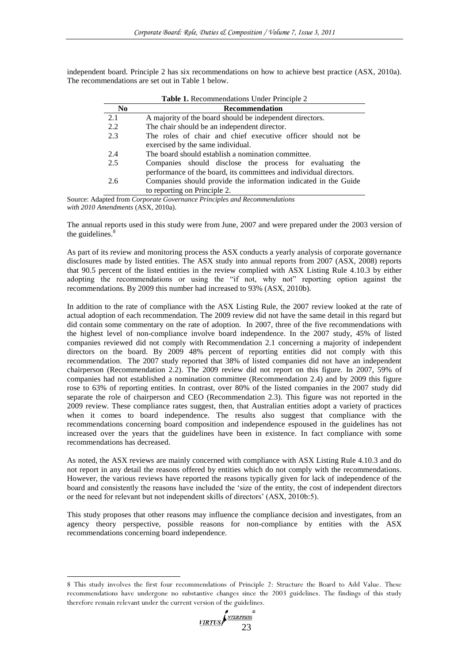independent board. Principle 2 has six recommendations on how to achieve best practice (ASX, 2010a). The recommendations are set out in Table 1 below.

| Table 1. Recommendations Under Principle 2 |                                                                    |  |  |  |  |  |  |  |  |  |
|--------------------------------------------|--------------------------------------------------------------------|--|--|--|--|--|--|--|--|--|
| N <sub>0</sub>                             | Recommendation                                                     |  |  |  |  |  |  |  |  |  |
| 2.1                                        | A majority of the board should be independent directors.           |  |  |  |  |  |  |  |  |  |
| 2.2                                        | The chair should be an independent director.                       |  |  |  |  |  |  |  |  |  |
| 2.3                                        | The roles of chair and chief executive officer should not be       |  |  |  |  |  |  |  |  |  |
|                                            | exercised by the same individual.                                  |  |  |  |  |  |  |  |  |  |
| 2.4                                        | The board should establish a nomination committee.                 |  |  |  |  |  |  |  |  |  |
| 2.5                                        | Companies should disclose the process for evaluating the           |  |  |  |  |  |  |  |  |  |
|                                            | performance of the board, its committees and individual directors. |  |  |  |  |  |  |  |  |  |
| 2.6                                        | Companies should provide the information indicated in the Guide    |  |  |  |  |  |  |  |  |  |
|                                            | to reporting on Principle 2.                                       |  |  |  |  |  |  |  |  |  |
| $\sim$ $\sim$                              | $\cdot$ $\cdot$                                                    |  |  |  |  |  |  |  |  |  |

Source: Adapted from *Corporate Governance Principles and Recommendations with 2010 Amendments* (ASX, 2010a).

The annual reports used in this study were from June, 2007 and were prepared under the 2003 version of the guidelines.<sup>8</sup>

As part of its review and monitoring process the ASX conducts a yearly analysis of corporate governance disclosures made by listed entities. The ASX study into annual reports from 2007 (ASX, 2008) reports that 90.5 percent of the listed entities in the review complied with ASX Listing Rule 4.10.3 by either adopting the recommendations or using the "if not, why not" reporting option against the recommendations. By 2009 this number had increased to 93% (ASX, 2010b).

In addition to the rate of compliance with the ASX Listing Rule, the 2007 review looked at the rate of actual adoption of each recommendation. The 2009 review did not have the same detail in this regard but did contain some commentary on the rate of adoption. In 2007, three of the five recommendations with the highest level of non-compliance involve board independence. In the 2007 study, 45% of listed companies reviewed did not comply with Recommendation 2.1 concerning a majority of independent directors on the board. By 2009 48% percent of reporting entities did not comply with this recommendation. The 2007 study reported that 38% of listed companies did not have an independent chairperson (Recommendation 2.2). The 2009 review did not report on this figure. In 2007, 59% of companies had not established a nomination committee (Recommendation 2.4) and by 2009 this figure rose to 63% of reporting entities. In contrast, over 80% of the listed companies in the 2007 study did separate the role of chairperson and CEO (Recommendation 2.3). This figure was not reported in the 2009 review. These compliance rates suggest, then, that Australian entities adopt a variety of practices when it comes to board independence. The results also suggest that compliance with the recommendations concerning board composition and independence espoused in the guidelines has not increased over the years that the guidelines have been in existence. In fact compliance with some recommendations has decreased.

As noted, the ASX reviews are mainly concerned with compliance with ASX Listing Rule 4.10.3 and do not report in any detail the reasons offered by entities which do not comply with the recommendations. However, the various reviews have reported the reasons typically given for lack of independence of the board and consistently the reasons have included the ‗size of the entity, the cost of independent directors or the need for relevant but not independent skills of directors' (ASX, 2010b:5).

This study proposes that other reasons may influence the compliance decision and investigates, from an agency theory perspective, possible reasons for non-compliance by entities with the ASX recommendations concerning board independence.

<sup>8</sup> This study involves the first four recommendations of Principle 2: Structure the Board to Add Value. These recommendations have undergone no substantive changes since the 2003 guidelines. The findings of this study therefore remain relevant under the current version of the guidelines.



-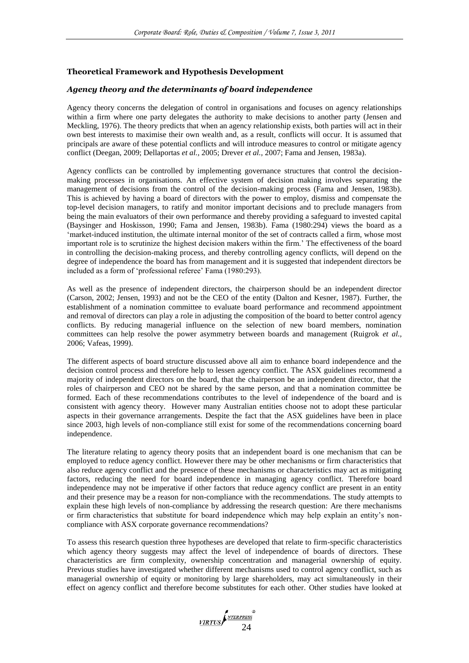### **Theoretical Framework and Hypothesis Development**

### *Agency theory and the determinants of board independence*

Agency theory concerns the delegation of control in organisations and focuses on agency relationships within a firm where one party delegates the authority to make decisions to another party (Jensen and Meckling, 1976). The theory predicts that when an agency relationship exists, both parties will act in their own best interests to maximise their own wealth and, as a result, conflicts will occur. It is assumed that principals are aware of these potential conflicts and will introduce measures to control or mitigate agency conflict (Deegan, 2009; Dellaportas *et al.,* 2005; Drever *et al.,* 2007; Fama and Jensen, 1983a).

Agency conflicts can be controlled by implementing governance structures that control the decisionmaking processes in organisations. An effective system of decision making involves separating the management of decisions from the control of the decision-making process (Fama and Jensen, 1983b). This is achieved by having a board of directors with the power to employ, dismiss and compensate the top-level decision managers, to ratify and monitor important decisions and to preclude managers from being the main evaluators of their own performance and thereby providing a safeguard to invested capital (Baysinger and Hoskisson, 1990; Fama and Jensen, 1983b). Fama (1980:294) views the board as a ‗market-induced institution, the ultimate internal monitor of the set of contracts called a firm, whose most important role is to scrutinize the highest decision makers within the firm.' The effectiveness of the board in controlling the decision-making process, and thereby controlling agency conflicts, will depend on the degree of independence the board has from management and it is suggested that independent directors be included as a form of 'professional referee' Fama (1980:293).

As well as the presence of independent directors, the chairperson should be an independent director (Carson, 2002; Jensen, 1993) and not be the CEO of the entity (Dalton and Kesner, 1987). Further, the establishment of a nomination committee to evaluate board performance and recommend appointment and removal of directors can play a role in adjusting the composition of the board to better control agency conflicts. By reducing managerial influence on the selection of new board members, nomination committees can help resolve the power asymmetry between boards and management (Ruigrok *et al.,* 2006; Vafeas, 1999).

The different aspects of board structure discussed above all aim to enhance board independence and the decision control process and therefore help to lessen agency conflict. The ASX guidelines recommend a majority of independent directors on the board, that the chairperson be an independent director, that the roles of chairperson and CEO not be shared by the same person, and that a nomination committee be formed. Each of these recommendations contributes to the level of independence of the board and is consistent with agency theory. However many Australian entities choose not to adopt these particular aspects in their governance arrangements. Despite the fact that the ASX guidelines have been in place since 2003, high levels of non-compliance still exist for some of the recommendations concerning board independence.

The literature relating to agency theory posits that an independent board is one mechanism that can be employed to reduce agency conflict. However there may be other mechanisms or firm characteristics that also reduce agency conflict and the presence of these mechanisms or characteristics may act as mitigating factors, reducing the need for board independence in managing agency conflict. Therefore board independence may not be imperative if other factors that reduce agency conflict are present in an entity and their presence may be a reason for non-compliance with the recommendations. The study attempts to explain these high levels of non-compliance by addressing the research question: Are there mechanisms or firm characteristics that substitute for board independence which may help explain an entity's noncompliance with ASX corporate governance recommendations?

To assess this research question three hypotheses are developed that relate to firm-specific characteristics which agency theory suggests may affect the level of independence of boards of directors. These characteristics are firm complexity, ownership concentration and managerial ownership of equity. Previous studies have investigated whether different mechanisms used to control agency conflict, such as managerial ownership of equity or monitoring by large shareholders, may act simultaneously in their effect on agency conflict and therefore become substitutes for each other. Other studies have looked at

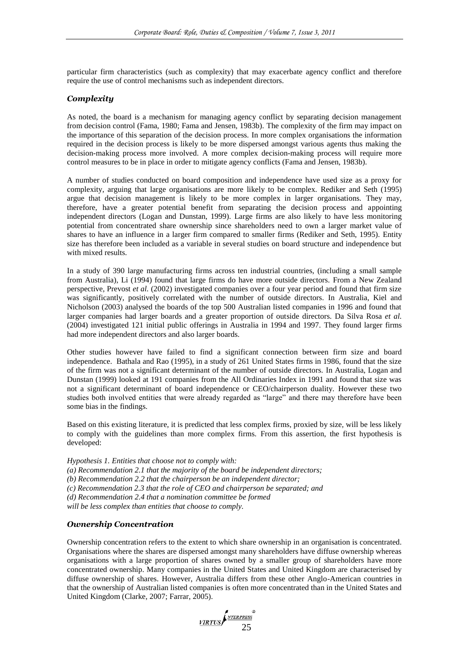particular firm characteristics (such as complexity) that may exacerbate agency conflict and therefore require the use of control mechanisms such as independent directors.

### *Complexity*

As noted, the board is a mechanism for managing agency conflict by separating decision management from decision control (Fama, 1980; Fama and Jensen, 1983b). The complexity of the firm may impact on the importance of this separation of the decision process. In more complex organisations the information required in the decision process is likely to be more dispersed amongst various agents thus making the decision-making process more involved. A more complex decision-making process will require more control measures to be in place in order to mitigate agency conflicts (Fama and Jensen, 1983b).

A number of studies conducted on board composition and independence have used size as a proxy for complexity, arguing that large organisations are more likely to be complex. Rediker and Seth (1995) argue that decision management is likely to be more complex in larger organisations. They may, therefore, have a greater potential benefit from separating the decision process and appointing independent directors (Logan and Dunstan, 1999). Large firms are also likely to have less monitoring potential from concentrated share ownership since shareholders need to own a larger market value of shares to have an influence in a larger firm compared to smaller firms (Rediker and Seth, 1995). Entity size has therefore been included as a variable in several studies on board structure and independence but with mixed results.

In a study of 390 large manufacturing firms across ten industrial countries, (including a small sample from Australia), Li (1994) found that large firms do have more outside directors. From a New Zealand perspective, Prevost *et al.* (2002) investigated companies over a four year period and found that firm size was significantly, positively correlated with the number of outside directors. In Australia, Kiel and Nicholson (2003) analysed the boards of the top 500 Australian listed companies in 1996 and found that larger companies had larger boards and a greater proportion of outside directors. Da Silva Rosa *et al.* (2004) investigated 121 initial public offerings in Australia in 1994 and 1997. They found larger firms had more independent directors and also larger boards.

Other studies however have failed to find a significant connection between firm size and board independence. Bathala and Rao (1995), in a study of 261 United States firms in 1986, found that the size of the firm was not a significant determinant of the number of outside directors. In Australia, Logan and Dunstan (1999) looked at 191 companies from the All Ordinaries Index in 1991 and found that size was not a significant determinant of board independence or CEO/chairperson duality. However these two studies both involved entities that were already regarded as "large" and there may therefore have been some bias in the findings.

Based on this existing literature, it is predicted that less complex firms, proxied by size, will be less likely to comply with the guidelines than more complex firms. From this assertion, the first hypothesis is developed:

*Hypothesis 1. Entities that choose not to comply with:*

*(a) Recommendation 2.1 that the majority of the board be independent directors;* 

*(b) Recommendation 2.2 that the chairperson be an independent director;* 

*(c) Recommendation 2.3 that the role of CEO and chairperson be separated; and* 

*(d) Recommendation 2.4 that a nomination committee be formed*

*will be less complex than entities that choose to comply.*

### *Ownership Concentration*

Ownership concentration refers to the extent to which share ownership in an organisation is concentrated. Organisations where the shares are dispersed amongst many shareholders have diffuse ownership whereas organisations with a large proportion of shares owned by a smaller group of shareholders have more concentrated ownership. Many companies in the United States and United Kingdom are characterised by diffuse ownership of shares. However, Australia differs from these other Anglo-American countries in that the ownership of Australian listed companies is often more concentrated than in the United States and United Kingdom (Clarke, 2007; Farrar, 2005).

VIRTUS ANTERPRESS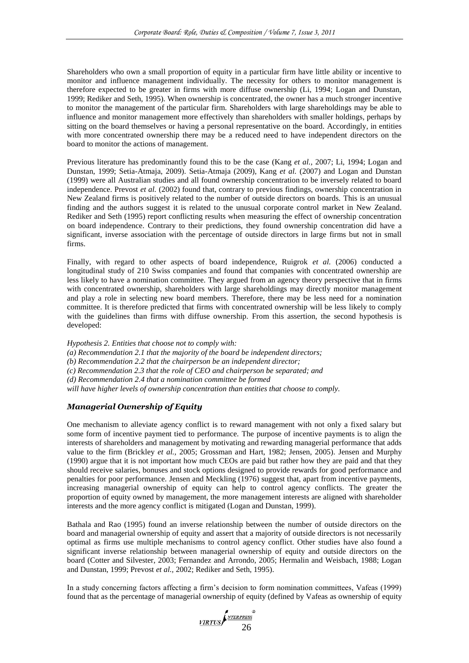Shareholders who own a small proportion of equity in a particular firm have little ability or incentive to monitor and influence management individually. The necessity for others to monitor management is therefore expected to be greater in firms with more diffuse ownership (Li, 1994; Logan and Dunstan, 1999; Rediker and Seth, 1995). When ownership is concentrated, the owner has a much stronger incentive to monitor the management of the particular firm. Shareholders with large shareholdings may be able to influence and monitor management more effectively than shareholders with smaller holdings, perhaps by sitting on the board themselves or having a personal representative on the board. Accordingly, in entities with more concentrated ownership there may be a reduced need to have independent directors on the board to monitor the actions of management.

Previous literature has predominantly found this to be the case (Kang *et al.,* 2007; Li, 1994; Logan and Dunstan, 1999; Setia-Atmaja, 2009). Setia-Atmaja (2009), Kang *et al.* (2007) and Logan and Dunstan (1999) were all Australian studies and all found ownership concentration to be inversely related to board independence. Prevost *et al.* (2002) found that, contrary to previous findings, ownership concentration in New Zealand firms is positively related to the number of outside directors on boards. This is an unusual finding and the authors suggest it is related to the unusual corporate control market in New Zealand. Rediker and Seth (1995) report conflicting results when measuring the effect of ownership concentration on board independence. Contrary to their predictions, they found ownership concentration did have a significant, inverse association with the percentage of outside directors in large firms but not in small firms.

Finally, with regard to other aspects of board independence, Ruigrok *et al.* (2006) conducted a longitudinal study of 210 Swiss companies and found that companies with concentrated ownership are less likely to have a nomination committee. They argued from an agency theory perspective that in firms with concentrated ownership, shareholders with large shareholdings may directly monitor management and play a role in selecting new board members. Therefore, there may be less need for a nomination committee. It is therefore predicted that firms with concentrated ownership will be less likely to comply with the guidelines than firms with diffuse ownership. From this assertion, the second hypothesis is developed:

*Hypothesis 2. Entities that choose not to comply with:*

*(a) Recommendation 2.1 that the majority of the board be independent directors;* 

*(b) Recommendation 2.2 that the chairperson be an independent director;* 

*(c) Recommendation 2.3 that the role of CEO and chairperson be separated; and* 

*(d) Recommendation 2.4 that a nomination committee be formed*

*will have higher levels of ownership concentration than entities that choose to comply.*

### *Managerial Ownership of Equity*

One mechanism to alleviate agency conflict is to reward management with not only a fixed salary but some form of incentive payment tied to performance. The purpose of incentive payments is to align the interests of shareholders and management by motivating and rewarding managerial performance that adds value to the firm (Brickley *et al.,* 2005; Grossman and Hart, 1982; Jensen, 2005). Jensen and Murphy (1990) argue that it is not important how much CEOs are paid but rather how they are paid and that they should receive salaries, bonuses and stock options designed to provide rewards for good performance and penalties for poor performance. Jensen and Meckling (1976) suggest that, apart from incentive payments, increasing managerial ownership of equity can help to control agency conflicts. The greater the proportion of equity owned by management, the more management interests are aligned with shareholder interests and the more agency conflict is mitigated (Logan and Dunstan, 1999).

Bathala and Rao (1995) found an inverse relationship between the number of outside directors on the board and managerial ownership of equity and assert that a majority of outside directors is not necessarily optimal as firms use multiple mechanisms to control agency conflict. Other studies have also found a significant inverse relationship between managerial ownership of equity and outside directors on the board (Cotter and Silvester, 2003; Fernandez and Arrondo, 2005; Hermalin and Weisbach, 1988; Logan and Dunstan, 1999; Prevost *et al.,* 2002; Rediker and Seth, 1995).

In a study concerning factors affecting a firm's decision to form nomination committees, Vafeas (1999) found that as the percentage of managerial ownership of equity (defined by Vafeas as ownership of equity

VIRTUS 26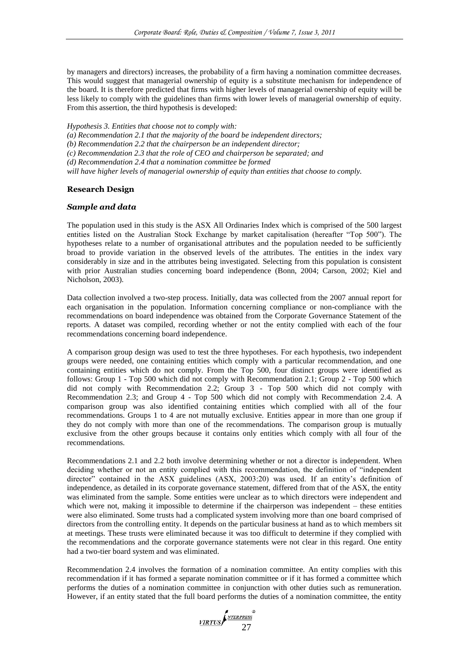by managers and directors) increases, the probability of a firm having a nomination committee decreases. This would suggest that managerial ownership of equity is a substitute mechanism for independence of the board. It is therefore predicted that firms with higher levels of managerial ownership of equity will be less likely to comply with the guidelines than firms with lower levels of managerial ownership of equity. From this assertion, the third hypothesis is developed:

*Hypothesis 3. Entities that choose not to comply with:*

*(a) Recommendation 2.1 that the majority of the board be independent directors;* 

*(b) Recommendation 2.2 that the chairperson be an independent director;* 

*(c) Recommendation 2.3 that the role of CEO and chairperson be separated; and* 

*(d) Recommendation 2.4 that a nomination committee be formed*

*will have higher levels of managerial ownership of equity than entities that choose to comply.*

### **Research Design**

#### *Sample and data*

The population used in this study is the ASX All Ordinaries Index which is comprised of the 500 largest entities listed on the Australian Stock Exchange by market capitalisation (hereafter "Top 500"). The hypotheses relate to a number of organisational attributes and the population needed to be sufficiently broad to provide variation in the observed levels of the attributes. The entities in the index vary considerably in size and in the attributes being investigated. Selecting from this population is consistent with prior Australian studies concerning board independence (Bonn, 2004; Carson, 2002; Kiel and Nicholson, 2003).

Data collection involved a two-step process. Initially, data was collected from the 2007 annual report for each organisation in the population. Information concerning compliance or non-compliance with the recommendations on board independence was obtained from the Corporate Governance Statement of the reports. A dataset was compiled, recording whether or not the entity complied with each of the four recommendations concerning board independence.

A comparison group design was used to test the three hypotheses. For each hypothesis, two independent groups were needed, one containing entities which comply with a particular recommendation, and one containing entities which do not comply. From the Top 500, four distinct groups were identified as follows: Group 1 - Top 500 which did not comply with Recommendation 2.1; Group 2 - Top 500 which did not comply with Recommendation 2.2; Group 3 - Top 500 which did not comply with Recommendation 2.3; and Group 4 - Top 500 which did not comply with Recommendation 2.4. A comparison group was also identified containing entities which complied with all of the four recommendations. Groups 1 to 4 are not mutually exclusive. Entities appear in more than one group if they do not comply with more than one of the recommendations. The comparison group is mutually exclusive from the other groups because it contains only entities which comply with all four of the recommendations.

Recommendations 2.1 and 2.2 both involve determining whether or not a director is independent. When deciding whether or not an entity complied with this recommendation, the definition of "independent director" contained in the ASX guidelines (ASX, 2003:20) was used. If an entity's definition of independence, as detailed in its corporate governance statement, differed from that of the ASX, the entity was eliminated from the sample. Some entities were unclear as to which directors were independent and which were not, making it impossible to determine if the chairperson was independent – these entities were also eliminated. Some trusts had a complicated system involving more than one board comprised of directors from the controlling entity. It depends on the particular business at hand as to which members sit at meetings. These trusts were eliminated because it was too difficult to determine if they complied with the recommendations and the corporate governance statements were not clear in this regard. One entity had a two-tier board system and was eliminated.

Recommendation 2.4 involves the formation of a nomination committee. An entity complies with this recommendation if it has formed a separate nomination committee or if it has formed a committee which performs the duties of a nomination committee in conjunction with other duties such as remuneration. However, if an entity stated that the full board performs the duties of a nomination committee, the entity

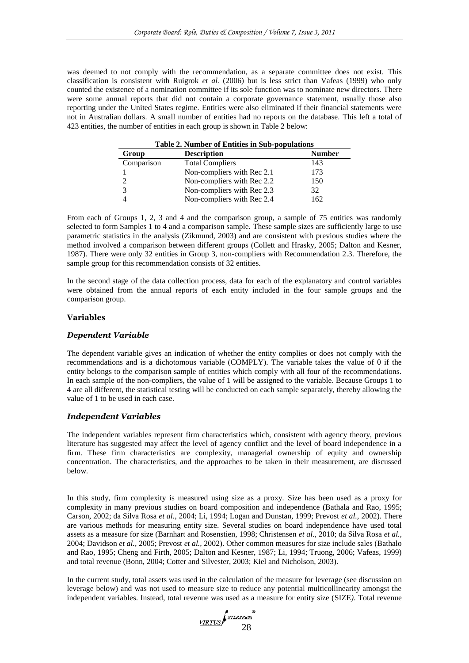was deemed to not comply with the recommendation, as a separate committee does not exist. This classification is consistent with Ruigrok *et al.* (2006) but is less strict than Vafeas (1999) who only counted the existence of a nomination committee if its sole function was to nominate new directors. There were some annual reports that did not contain a corporate governance statement, usually those also reporting under the United States regime. Entities were also eliminated if their financial statements were not in Australian dollars. A small number of entities had no reports on the database. This left a total of 423 entities, the number of entities in each group is shown in Table 2 below:

| <b>Table 2. Number of Entities in Sub-populations</b> |                            |               |  |  |  |  |  |
|-------------------------------------------------------|----------------------------|---------------|--|--|--|--|--|
| Group                                                 | <b>Description</b>         | <b>Number</b> |  |  |  |  |  |
| Comparison                                            | <b>Total Compliers</b>     | 143           |  |  |  |  |  |
|                                                       | Non-compliers with Rec 2.1 | 173           |  |  |  |  |  |
|                                                       | Non-compliers with Rec 2.2 | 150           |  |  |  |  |  |
|                                                       | Non-compliers with Rec 2.3 | 32            |  |  |  |  |  |
|                                                       | Non-compliers with Rec 2.4 | 162           |  |  |  |  |  |

**Table 2. Number of Entities in Sub-populations**

From each of Groups 1, 2, 3 and 4 and the comparison group, a sample of 75 entities was randomly selected to form Samples 1 to 4 and a comparison sample. These sample sizes are sufficiently large to use parametric statistics in the analysis (Zikmund, 2003) and are consistent with previous studies where the method involved a comparison between different groups (Collett and Hrasky, 2005; Dalton and Kesner, 1987). There were only 32 entities in Group 3, non-compliers with Recommendation 2.3. Therefore, the sample group for this recommendation consists of 32 entities.

In the second stage of the data collection process, data for each of the explanatory and control variables were obtained from the annual reports of each entity included in the four sample groups and the comparison group.

#### **Variables**

#### *Dependent Variable*

The dependent variable gives an indication of whether the entity complies or does not comply with the recommendations and is a dichotomous variable (COMPLY). The variable takes the value of 0 if the entity belongs to the comparison sample of entities which comply with all four of the recommendations. In each sample of the non-compliers, the value of 1 will be assigned to the variable. Because Groups 1 to 4 are all different, the statistical testing will be conducted on each sample separately, thereby allowing the value of 1 to be used in each case.

#### *Independent Variables*

The independent variables represent firm characteristics which, consistent with agency theory, previous literature has suggested may affect the level of agency conflict and the level of board independence in a firm. These firm characteristics are complexity, managerial ownership of equity and ownership concentration. The characteristics, and the approaches to be taken in their measurement, are discussed below.

In this study, firm complexity is measured using size as a proxy. Size has been used as a proxy for complexity in many previous studies on board composition and independence (Bathala and Rao, 1995; Carson, 2002; da Silva Rosa *et al.,* 2004; Li, 1994; Logan and Dunstan, 1999; Prevost *et al.,* 2002). There are various methods for measuring entity size. Several studies on board independence have used total assets as a measure for size (Barnhart and Rosenstien, 1998; Christensen *et al.,* 2010; da Silva Rosa *et al.,* 2004; Davidson *et al.,* 2005; Prevost *et al.,* 2002). Other common measures for size include sales (Bathalo and Rao, 1995; Cheng and Firth, 2005; Dalton and Kesner, 1987; Li, 1994; Truong, 2006; Vafeas, 1999) and total revenue (Bonn, 2004; Cotter and Silvester, 2003; Kiel and Nicholson, 2003).

In the current study, total assets was used in the calculation of the measure for leverage (see discussion on leverage below) and was not used to measure size to reduce any potential multicollinearity amongst the independent variables. Instead, total revenue was used as a measure for entity size (SIZE*)*. Total revenue

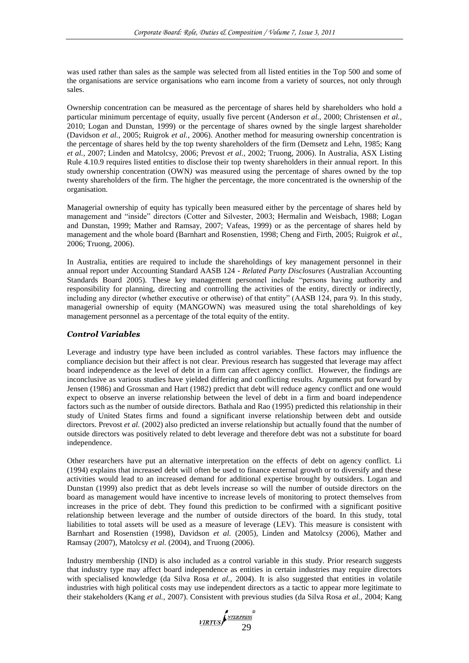was used rather than sales as the sample was selected from all listed entities in the Top 500 and some of the organisations are service organisations who earn income from a variety of sources, not only through sales.

Ownership concentration can be measured as the percentage of shares held by shareholders who hold a particular minimum percentage of equity, usually five percent (Anderson *et al.,* 2000; Christensen *et al.,* 2010; Logan and Dunstan, 1999) or the percentage of shares owned by the single largest shareholder (Davidson *et al.,* 2005; Ruigrok *et al.,* 2006). Another method for measuring ownership concentration is the percentage of shares held by the top twenty shareholders of the firm (Demsetz and Lehn, 1985; Kang *et al.,* 2007; Linden and Matolcsy, 2006; Prevost *et al.,* 2002; Truong, 2006). In Australia, ASX Listing Rule 4.10.9 requires listed entities to disclose their top twenty shareholders in their annual report. In this study ownership concentration (OWN*)* was measured using the percentage of shares owned by the top twenty shareholders of the firm. The higher the percentage, the more concentrated is the ownership of the organisation.

Managerial ownership of equity has typically been measured either by the percentage of shares held by management and "inside" directors (Cotter and Silvester, 2003; Hermalin and Weisbach, 1988; Logan and Dunstan, 1999; Mather and Ramsay, 2007; Vafeas, 1999) or as the percentage of shares held by management and the whole board (Barnhart and Rosenstien, 1998; Cheng and Firth, 2005; Ruigrok *et al.,* 2006; Truong, 2006).

In Australia, entities are required to include the shareholdings of key management personnel in their annual report under Accounting Standard AASB 124 - *Related Party Disclosures* (Australian Accounting Standards Board 2005). These key management personnel include "persons having authority and responsibility for planning, directing and controlling the activities of the entity, directly or indirectly, including any director (whether executive or otherwise) of that entity" (AASB 124, para 9). In this study, managerial ownership of equity (MANGOWN) was measured using the total shareholdings of key management personnel as a percentage of the total equity of the entity.

### *Control Variables*

Leverage and industry type have been included as control variables. These factors may influence the compliance decision but their affect is not clear. Previous research has suggested that leverage may affect board independence as the level of debt in a firm can affect agency conflict. However, the findings are inconclusive as various studies have yielded differing and conflicting results. Arguments put forward by Jensen (1986) and Grossman and Hart (1982) predict that debt will reduce agency conflict and one would expect to observe an inverse relationship between the level of debt in a firm and board independence factors such as the number of outside directors. Bathala and Rao (1995) predicted this relationship in their study of United States firms and found a significant inverse relationship between debt and outside directors. Prevost *et al.* (2002) also predicted an inverse relationship but actually found that the number of outside directors was positively related to debt leverage and therefore debt was not a substitute for board independence.

Other researchers have put an alternative interpretation on the effects of debt on agency conflict. Li (1994) explains that increased debt will often be used to finance external growth or to diversify and these activities would lead to an increased demand for additional expertise brought by outsiders. Logan and Dunstan (1999) also predict that as debt levels increase so will the number of outside directors on the board as management would have incentive to increase levels of monitoring to protect themselves from increases in the price of debt. They found this prediction to be confirmed with a significant positive relationship between leverage and the number of outside directors of the board. In this study, total liabilities to total assets will be used as a measure of leverage (LEV). This measure is consistent with Barnhart and Rosenstien (1998), Davidson *et al.* (2005), Linden and Matolcsy (2006), Mather and Ramsay (2007), Matolcsy *et al.* (2004), and Truong (2006).

Industry membership (IND) is also included as a control variable in this study. Prior research suggests that industry type may affect board independence as entities in certain industries may require directors with specialised knowledge (da Silva Rosa *et al.,* 2004). It is also suggested that entities in volatile industries with high political costs may use independent directors as a tactic to appear more legitimate to their stakeholders (Kang *et al.,* 2007). Consistent with previous studies (da Silva Rosa *et al.,* 2004; Kang

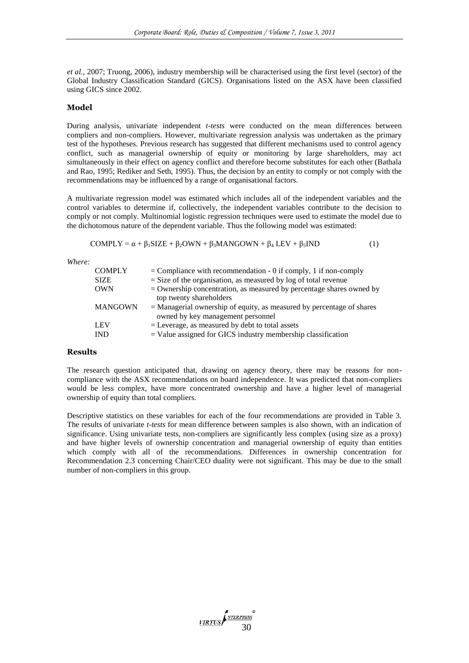*et al.,* 2007; Truong, 2006), industry membership will be characterised using the first level (sector) of the Global Industry Classification Standard (GICS). Organisations listed on the ASX have been classified using GICS since 2002.

#### **Model**

During analysis, univariate independent *t-tests* were conducted on the mean differences between compliers and non-compliers. However, multivariate regression analysis was undertaken as the primary test of the hypotheses. Previous research has suggested that different mechanisms used to control agency conflict, such as managerial ownership of equity or monitoring by large shareholders, may act simultaneously in their effect on agency conflict and therefore become substitutes for each other (Bathala and Rao, 1995; Rediker and Seth, 1995). Thus, the decision by an entity to comply or not comply with the recommendations may be influenced by a range of organisational factors.

A multivariate regression model was estimated which includes all of the independent variables and the control variables to determine if, collectively, the independent variables contribute to the decision to comply or not comply. Multinomial logistic regression techniques were used to estimate the model due to the dichotomous nature of the dependent variable. Thus the following model was estimated:

$$
COMPLY = \alpha + \beta_1 SIZE + \beta_2 OWN + \beta_3 MANGOWN + \beta_4 LEV + \beta_5 IND \tag{1}
$$

*Where:*

| <b>COMPLY</b>  | $=$ Compliance with recommendation - 0 if comply, 1 if non-comply       |
|----------------|-------------------------------------------------------------------------|
| <b>SIZE</b>    | $=$ Size of the organisation, as measured by log of total revenue       |
| <b>OWN</b>     | $=$ Ownership concentration, as measured by percentage shares owned by  |
|                | top twenty shareholders                                                 |
| <b>MANGOWN</b> | $=$ Managerial ownership of equity, as measured by percentage of shares |
|                | owned by key management personnel                                       |
| <b>LEV</b>     | $=$ Leverage, as measured by debt to total assets                       |
| <b>IND</b>     | $=$ Value assigned for GICS industry membership classification          |

### **Results**

The research question anticipated that, drawing on agency theory, there may be reasons for noncompliance with the ASX recommendations on board independence. It was predicted that non-compliers would be less complex, have more concentrated ownership and have a higher level of managerial ownership of equity than total compliers.

Descriptive statistics on these variables for each of the four recommendations are provided in Table 3. The results of univariate *t-tests* for mean difference between samples is also shown, with an indication of significance. Using univariate tests, non-compliers are significantly less complex (using size as a proxy) and have higher levels of ownership concentration and managerial ownership of equity than entities which comply with all of the recommendations. Differences in ownership concentration for Recommendation 2.3 concerning Chair/CEO duality were not significant. This may be due to the small number of non-compliers in this group.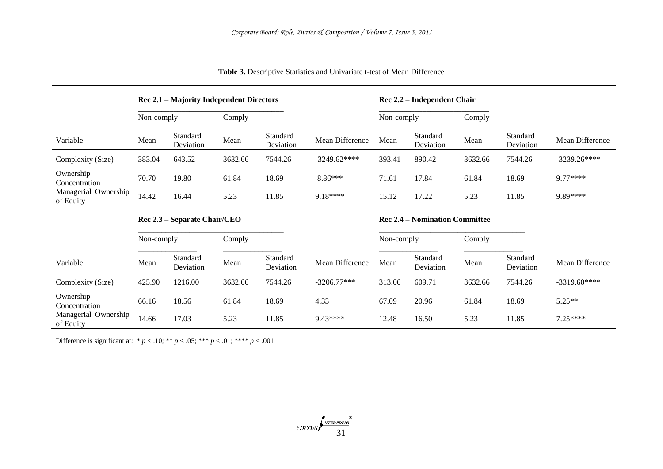|                                   | Rec 2.1 – Majority Independent Directors |                       |         |                       |                 | Rec 2.2 – Independent Chair |                       |         |                       |                 |
|-----------------------------------|------------------------------------------|-----------------------|---------|-----------------------|-----------------|-----------------------------|-----------------------|---------|-----------------------|-----------------|
|                                   | Non-comply                               |                       | Comply  |                       |                 | Non-comply                  |                       | Comply  |                       |                 |
| Variable                          | Mean                                     | Standard<br>Deviation | Mean    | Standard<br>Deviation | Mean Difference | Mean                        | Standard<br>Deviation | Mean    | Standard<br>Deviation | Mean Difference |
| Complexity (Size)                 | 383.04                                   | 643.52                | 3632.66 | 7544.26               | $-3249.62***$   | 393.41                      | 890.42                | 3632.66 | 7544.26               | $-3239.26***$   |
| Ownership<br>Concentration        | 70.70                                    | 19.80                 | 61.84   | 18.69                 | $8.86***$       | 71.61                       | 17.84                 | 61.84   | 18.69                 | $9.77***$       |
| Managerial Ownership<br>of Equity | 14.42                                    | 16.44                 | 5.23    | 11.85                 | $9.18***$       | 15.12                       | 17.22                 | 5.23    | 11.85                 | 9.89****        |

## **Table 3.** Descriptive Statistics and Univariate t-test of Mean Difference

# **Rec 2.3 – Separate Chair/CEO**

# **Rec 2.4 – Nomination Committee**

|                                   | Non-comply |                       | Comply  |                       | Non-comply      |        | Comply                |         |                       |                 |
|-----------------------------------|------------|-----------------------|---------|-----------------------|-----------------|--------|-----------------------|---------|-----------------------|-----------------|
| Variable                          | Mean       | Standard<br>Deviation | Mean    | Standard<br>Deviation | Mean Difference | Mean   | Standard<br>Deviation | Mean    | Standard<br>Deviation | Mean Difference |
| Complexity (Size)                 | 425.90     | 1216.00               | 3632.66 | 7544.26               | $-3206.77***$   | 313.06 | 609.71                | 3632.66 | 7544.26               | $-3319.60***$   |
| Ownership<br>Concentration        | 66.16      | 18.56                 | 61.84   | 18.69                 | 4.33            | 67.09  | 20.96                 | 61.84   | 18.69                 | $5.25**$        |
| Managerial Ownership<br>of Equity | 14.66      | 17.03                 | 5.23    | 11.85                 | 9.43****        | 12.48  | 16.50                 | 5.23    | 11.85                 | $7.25***$       |

Difference is significant at:  $* p < .10; ** p < .05; *** p < .01; *** p < .001$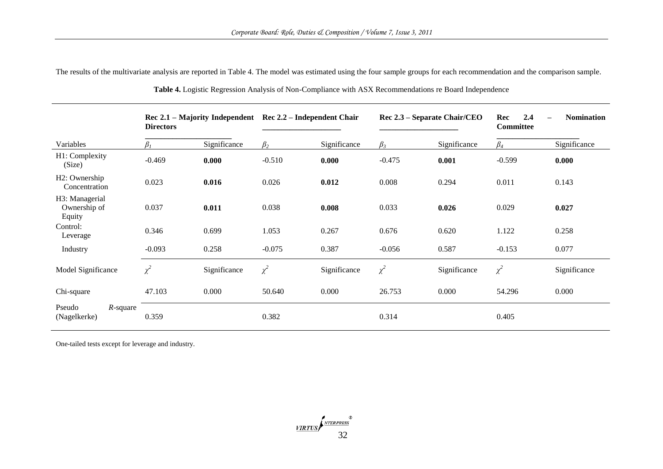The results of the multivariate analysis are reported in Table 4. The model was estimated using the four sample groups for each recommendation and the comparison sample.

|                                             | Rec 2.1 – Majority Independent<br><b>Directors</b> |              | Rec 2.2 – Independent Chair |              | Rec 2.3 – Separate Chair/CEO |              | 2.4<br>Rec<br><b>Committee</b> | <b>Nomination</b> |
|---------------------------------------------|----------------------------------------------------|--------------|-----------------------------|--------------|------------------------------|--------------|--------------------------------|-------------------|
| Variables                                   | $\beta_{1}$                                        | Significance | $\beta_2$                   | Significance | $\beta_3$                    | Significance | $\beta_4$                      | Significance      |
| H1: Complexity<br>(Size)                    | $-0.469$                                           | 0.000        | $-0.510$                    | 0.000        | $-0.475$                     | 0.001        | $-0.599$                       | 0.000             |
| H <sub>2</sub> : Ownership<br>Concentration | 0.023                                              | 0.016        | 0.026                       | 0.012        | 0.008                        | 0.294        | 0.011                          | 0.143             |
| H3: Managerial<br>Ownership of<br>Equity    | 0.037                                              | 0.011        | 0.038                       | 0.008        | 0.033                        | 0.026        | 0.029                          | 0.027             |
| Control:<br>Leverage                        | 0.346                                              | 0.699        | 1.053                       | 0.267        | 0.676                        | 0.620        | 1.122                          | 0.258             |
| Industry                                    | $-0.093$                                           | 0.258        | $-0.075$                    | 0.387        | $-0.056$                     | 0.587        | $-0.153$                       | 0.077             |
| Model Significance                          | $\chi^2$                                           | Significance | $\chi^2$                    | Significance | $\chi^2$                     | Significance | $\chi^2$                       | Significance      |
| Chi-square                                  | 47.103                                             | 0.000        | 50.640                      | 0.000        | 26.753                       | 0.000        | 54.296                         | 0.000             |
| Pseudo<br>$R$ -square<br>(Nagelkerke)       | 0.359                                              |              | 0.382                       |              | 0.314                        |              | 0.405                          |                   |

**Table 4.** Logistic Regression Analysis of Non-Compliance with ASX Recommendations re Board Independence

One-tailed tests except for leverage and industry.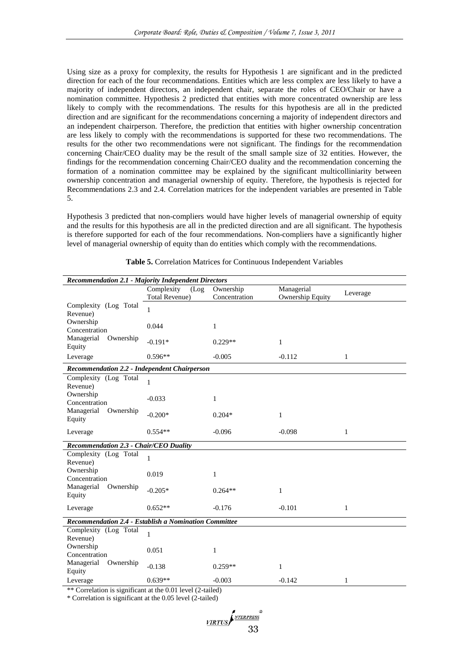Using size as a proxy for complexity, the results for Hypothesis 1 are significant and in the predicted direction for each of the four recommendations. Entities which are less complex are less likely to have a majority of independent directors, an independent chair, separate the roles of CEO/Chair or have a nomination committee. Hypothesis 2 predicted that entities with more concentrated ownership are less likely to comply with the recommendations. The results for this hypothesis are all in the predicted direction and are significant for the recommendations concerning a majority of independent directors and an independent chairperson. Therefore, the prediction that entities with higher ownership concentration are less likely to comply with the recommendations is supported for these two recommendations. The results for the other two recommendations were not significant. The findings for the recommendation concerning Chair/CEO duality may be the result of the small sample size of 32 entities. However, the findings for the recommendation concerning Chair/CEO duality and the recommendation concerning the formation of a nomination committee may be explained by the significant multicolliniarity between ownership concentration and managerial ownership of equity. Therefore, the hypothesis is rejected for Recommendations 2.3 and 2.4. Correlation matrices for the independent variables are presented in Table 5.

Hypothesis 3 predicted that non-compliers would have higher levels of managerial ownership of equity and the results for this hypothesis are all in the predicted direction and are all significant. The hypothesis is therefore supported for each of the four recommendations. Non-compliers have a significantly higher level of managerial ownership of equity than do entities which comply with the recommendations.

| <b>Recommendation 2.1 - Majority Independent Directors</b> |                                             |                            |                                       |          |  |  |  |  |  |
|------------------------------------------------------------|---------------------------------------------|----------------------------|---------------------------------------|----------|--|--|--|--|--|
|                                                            | Complexity<br>(Log<br><b>Total Revenue)</b> | Ownership<br>Concentration | Managerial<br><b>Ownership Equity</b> | Leverage |  |  |  |  |  |
| Complexity (Log Total<br>Revenue)                          | $\mathbf{1}$                                |                            |                                       |          |  |  |  |  |  |
| Ownership<br>Concentration                                 | 0.044                                       | $\mathbf{1}$               |                                       |          |  |  |  |  |  |
| Managerial<br>Ownership<br>Equity                          | $-0.191*$                                   | $0.229**$                  | $\mathbf{1}$                          |          |  |  |  |  |  |
| Leverage                                                   | $0.596**$                                   | $-0.005$                   | $-0.112$                              | 1        |  |  |  |  |  |
| <b>Recommendation 2.2 - Independent Chairperson</b>        |                                             |                            |                                       |          |  |  |  |  |  |
| Complexity (Log Total<br>Revenue)                          | $\mathbf{1}$                                |                            |                                       |          |  |  |  |  |  |
| Ownership<br>Concentration                                 | $-0.033$                                    | 1                          |                                       |          |  |  |  |  |  |
| Managerial Ownership<br>Equity                             | $-0.200*$                                   | $0.204*$                   | $\mathbf{1}$                          |          |  |  |  |  |  |
| Leverage                                                   | $0.554**$                                   | $-0.096$                   | $-0.098$                              | 1        |  |  |  |  |  |
| <b>Recommendation 2.3 - Chair/CEO Duality</b>              |                                             |                            |                                       |          |  |  |  |  |  |
| Complexity (Log Total<br>Revenue)                          | $\mathbf{1}$                                |                            |                                       |          |  |  |  |  |  |
| Ownership<br>Concentration                                 | 0.019                                       | 1                          |                                       |          |  |  |  |  |  |
| Managerial<br>Ownership<br>Equity                          | $-0.205*$                                   | $0.264**$                  | $\mathbf{1}$                          |          |  |  |  |  |  |
| Leverage                                                   | $0.652**$                                   | $-0.176$                   | $-0.101$                              | 1        |  |  |  |  |  |
| Recommendation 2.4 - Establish a Nomination Committee      |                                             |                            |                                       |          |  |  |  |  |  |
| Complexity (Log Total<br>Revenue)                          | $\mathbf{1}$                                |                            |                                       |          |  |  |  |  |  |
| Ownership<br>Concentration                                 | 0.051                                       | 1                          |                                       |          |  |  |  |  |  |
| Managerial<br>Ownership<br>Equity                          | $-0.138$                                    | $0.259**$                  | 1                                     |          |  |  |  |  |  |
| Leverage                                                   | $0.639**$                                   | $-0.003$                   | $-0.142$                              | 1        |  |  |  |  |  |

**Table 5.** Correlation Matrices for Continuous Independent Variables

\*\* Correlation is significant at the 0.01 level (2-tailed)

\* Correlation is significant at the 0.05 level (2-tailed)

VIRTUS SA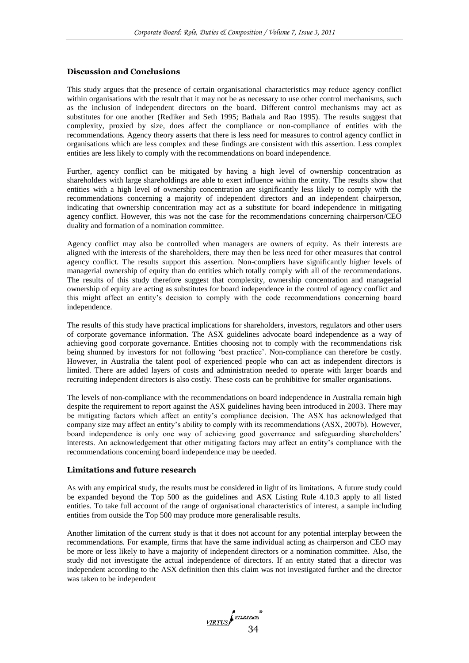### **Discussion and Conclusions**

This study argues that the presence of certain organisational characteristics may reduce agency conflict within organisations with the result that it may not be as necessary to use other control mechanisms, such as the inclusion of independent directors on the board. Different control mechanisms may act as substitutes for one another (Rediker and Seth 1995; Bathala and Rao 1995). The results suggest that complexity, proxied by size, does affect the compliance or non-compliance of entities with the recommendations. Agency theory asserts that there is less need for measures to control agency conflict in organisations which are less complex and these findings are consistent with this assertion. Less complex entities are less likely to comply with the recommendations on board independence.

Further, agency conflict can be mitigated by having a high level of ownership concentration as shareholders with large shareholdings are able to exert influence within the entity. The results show that entities with a high level of ownership concentration are significantly less likely to comply with the recommendations concerning a majority of independent directors and an independent chairperson, indicating that ownership concentration may act as a substitute for board independence in mitigating agency conflict. However, this was not the case for the recommendations concerning chairperson/CEO duality and formation of a nomination committee.

Agency conflict may also be controlled when managers are owners of equity. As their interests are aligned with the interests of the shareholders, there may then be less need for other measures that control agency conflict. The results support this assertion. Non-compliers have significantly higher levels of managerial ownership of equity than do entities which totally comply with all of the recommendations. The results of this study therefore suggest that complexity, ownership concentration and managerial ownership of equity are acting as substitutes for board independence in the control of agency conflict and this might affect an entity's decision to comply with the code recommendations concerning board independence.

The results of this study have practical implications for shareholders, investors, regulators and other users of corporate governance information. The ASX guidelines advocate board independence as a way of achieving good corporate governance. Entities choosing not to comply with the recommendations risk being shunned by investors for not following 'best practice'. Non-compliance can therefore be costly. However, in Australia the talent pool of experienced people who can act as independent directors is limited. There are added layers of costs and administration needed to operate with larger boards and recruiting independent directors is also costly. These costs can be prohibitive for smaller organisations.

The levels of non-compliance with the recommendations on board independence in Australia remain high despite the requirement to report against the ASX guidelines having been introduced in 2003. There may be mitigating factors which affect an entity's compliance decision. The ASX has acknowledged that company size may affect an entity's ability to comply with its recommendations (ASX, 2007b). However, board independence is only one way of achieving good governance and safeguarding shareholders' interests. An acknowledgement that other mitigating factors may affect an entity's compliance with the recommendations concerning board independence may be needed.

### **Limitations and future research**

As with any empirical study, the results must be considered in light of its limitations. A future study could be expanded beyond the Top 500 as the guidelines and ASX Listing Rule 4.10.3 apply to all listed entities. To take full account of the range of organisational characteristics of interest, a sample including entities from outside the Top 500 may produce more generalisable results.

Another limitation of the current study is that it does not account for any potential interplay between the recommendations. For example, firms that have the same individual acting as chairperson and CEO may be more or less likely to have a majority of independent directors or a nomination committee. Also, the study did not investigate the actual independence of directors. If an entity stated that a director was independent according to the ASX definition then this claim was not investigated further and the director was taken to be independent

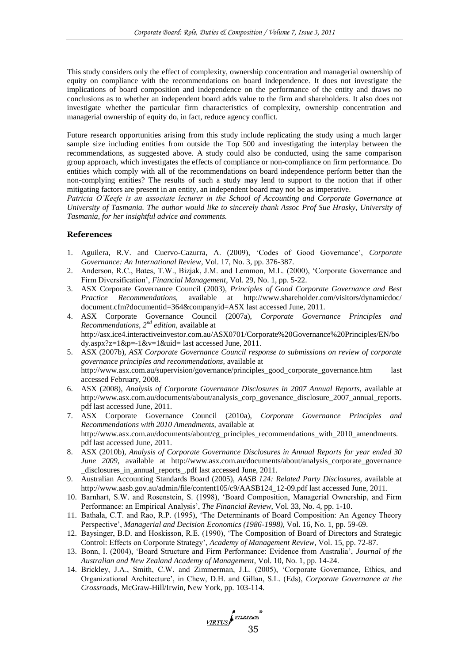This study considers only the effect of complexity, ownership concentration and managerial ownership of equity on compliance with the recommendations on board independence. It does not investigate the implications of board composition and independence on the performance of the entity and draws no conclusions as to whether an independent board adds value to the firm and shareholders. It also does not investigate whether the particular firm characteristics of complexity, ownership concentration and managerial ownership of equity do, in fact, reduce agency conflict.

Future research opportunities arising from this study include replicating the study using a much larger sample size including entities from outside the Top 500 and investigating the interplay between the recommendations, as suggested above. A study could also be conducted, using the same comparison group approach, which investigates the effects of compliance or non-compliance on firm performance. Do entities which comply with all of the recommendations on board independence perform better than the non-complying entities? The results of such a study may lend to support to the notion that if other mitigating factors are present in an entity, an independent board may not be as imperative.

*Patricia O'Keefe is an associate lecturer in the School of Accounting and Corporate Governance at University of Tasmania. The author would like to sincerely thank Assoc Prof Sue Hrasky, University of Tasmania, for her insightful advice and comments.* 

### **References**

- 1. Aguilera, R.V. and Cuervo-Cazurra, A. (2009), ‗Codes of Good Governance', *Corporate Governance: An International Review*, Vol. 17, No. 3, pp. 376-387.
- 2. Anderson, R.C., Bates, T.W., Bizjak, J.M. and Lemmon, M.L. (2000), 'Corporate Governance and Firm Diversification', *Financial Management*, Vol. 29, No. 1, pp. 5-22.
- 3. ASX Corporate Governance Council (2003), *Principles of Good Corporate Governance and Best Practice Recommendations,* available at http://www.shareholder.com/visitors/dynamicdoc/ document.cfm?documentid=364&companyid=ASX last accessed June, 2011.
- 4. ASX Corporate Governance Council (2007a), *Corporate Governance Principles and Recommendations, 2nd edition,* available at [http://asx.ice4.interactiveinvestor.com.au/ASX0701/Corporate%20Governance%20Principles/EN/bo](http://asx.ice4.interactiveinvestor.com.au/ASX0701/Corporate%20Governance%20Principles/EN/body.aspx?z=1&p=-1&v=1&uid) [dy.aspx?z=1&p=-1&v=1&uid=](http://asx.ice4.interactiveinvestor.com.au/ASX0701/Corporate%20Governance%20Principles/EN/body.aspx?z=1&p=-1&v=1&uid) last accessed June, 2011.
- 5. ASX (2007b), *ASX Corporate Governance Council response to submissions on review of corporate governance principles and recommendations,* available at [http://www.asx.com.au/supervision/governance/principles\\_good\\_corporate\\_governance.htm](http://www.asx.com.au/supervision/governance/principles_good_corporate_governance.htm) last accessed February, 2008.
- 6. ASX (2008), *Analysis of Corporate Governance Disclosures in 2007 Annual Reports,* available at [http://www.asx.com.au/documents/about/analysis\\_corp\\_govenance\\_disclosure\\_2007\\_annual\\_reports.](http://www.asx.com.au/documents/about/analysis_corp_govenance_disclosure_2007_annual_reports.pdf) [pdf](http://www.asx.com.au/documents/about/analysis_corp_govenance_disclosure_2007_annual_reports.pdf) last accessed June, 2011.
- 7. ASX Corporate Governance Council (2010a), *Corporate Governance Principles and Recommendations with 2010 Amendments,* available at [http://www.asx.com.au/documents/about/cg\\_principles\\_recommendations\\_with\\_2010\\_amendments.](http://www.asx.com.au/documents/about/cg_principles_recommendations_with_2010_amendments.pdf) [pdf](http://www.asx.com.au/documents/about/cg_principles_recommendations_with_2010_amendments.pdf) last accessed June, 2011.
- 8. ASX (2010b), *Analysis of Corporate Governance Disclosures in Annual Reports for year ended 30 June 2009,* available at http://www.asx.com.au/documents/about/analysis\_corporate\_governance \_disclosures\_in\_annual\_reports\_.pdf last accessed June, 2011.
- 9. Australian Accounting Standards Board (2005), *AASB 124: Related Party Disclosures,* available at http://www.aasb.gov.au/admin/file/content105/c9/AASB124\_12-09.pdf last accessed June, 2011.
- 10. Barnhart, S.W. and Rosenstein, S. (1998), ‗Board Composition, Managerial Ownership, and Firm Performance: an Empirical Analysis', *The Financial Review*, Vol. 33, No. 4, pp. 1-10.
- 11. Bathala, C.T. and Rao, R.P. (1995), 'The Determinants of Board Composition: An Agency Theory Perspective', *Managerial and Decision Economics (1986-1998)*, Vol. 16, No. 1, pp. 59-69.
- 12. Baysinger, B.D. and Hoskisson, R.E. (1990), ‗The Composition of Board of Directors and Strategic Control: Effects on Corporate Strategy', *Academy of Management Review*, Vol. 15, pp. 72-87.
- 13. Bonn, I. (2004), ‗Board Structure and Firm Performance: Evidence from Australia', *Journal of the Australian and New Zealand Academy of Management*, Vol. 10, No. 1, pp. 14-24.
- 14. Brickley, J.A., Smith, C.W. and Zimmerman, J.L. (2005), ‗Corporate Governance, Ethics, and Organizational Architecture', in Chew, D.H. and Gillan, S.L. (Eds), *Corporate Governance at the Crossroads,* McGraw-Hill/Irwin, New York, pp. 103-114.

VIRTUS STEEPRESS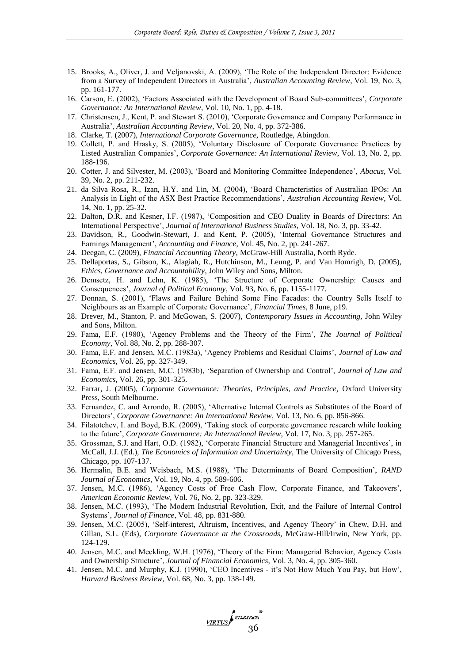- 15. Brooks, A., Oliver, J. and Veljanovski, A. (2009), ‗The Role of the Independent Director: Evidence from a Survey of Independent Directors in Australia', *Australian Accounting Review*, Vol. 19, No. 3, pp. 161-177.
- 16. Carson, E. (2002), ‗Factors Associated with the Development of Board Sub-committees', *Corporate Governance: An International Review*, Vol. 10, No. 1, pp. 4-18.
- 17. Christensen, J., Kent, P. and Stewart S. (2010), ‗Corporate Governance and Company Performance in Australia', *Australian Accounting Review*, Vol. 20, No. 4, pp. 372-386.
- 18. Clarke, T. (2007), *International Corporate Governance,* Routledge, Abingdon.
- 19. Collett, P. and Hrasky, S. (2005), ‗Voluntary Disclosure of Corporate Governance Practices by Listed Australian Companies', *Corporate Governance: An International Review*, Vol. 13, No. 2, pp. 188-196.
- 20. Cotter, J. and Silvester, M. (2003), ‗Board and Monitoring Committee Independence', *Abacus,* Vol. 39, No. 2, pp. 211-232.
- 21. da Silva Rosa, R., Izan, H.Y. and Lin, M. (2004), ‗Board Characteristics of Australian IPOs: An Analysis in Light of the ASX Best Practice Recommendations', *Australian Accounting Review*, Vol. 14, No. 1, pp. 25-32.
- 22. Dalton, D.R. and Kesner, I.F. (1987), ‗Composition and CEO Duality in Boards of Directors: An International Perspective', *Journal of International Business Studies*, Vol. 18, No. 3, pp. 33-42.
- 23. Davidson, R., Goodwin-Stewart, J. and Kent, P. (2005), ‗Internal Governance Structures and Earnings Management', *Accounting and Finance*, Vol. 45, No. 2, pp. 241-267.
- 24. Deegan, C. (2009), *Financial Accounting Theory,* McGraw-Hill Australia, North Ryde.
- 25. Dellaportas, S., Gibson, K., Alagiah, R., Hutchinson, M., Leung, P. and Van Homrigh, D. (2005), *Ethics, Governance and Accountability*, John Wiley and Sons, Milton.
- 26. Demsetz, H. and Lehn, K. (1985), ‗The Structure of Corporate Ownership: Causes and Consequences', *Journal of Political Economy*, Vol. 93, No. 6, pp. 1155-1177.
- 27. Donnan, S. (2001), ‗Flaws and Failure Behind Some Fine Facades: the Country Sells Itself to Neighbours as an Example of Corporate Governance', *Financial Times*, 8 June, p19.
- 28. Drever, M., Stanton, P. and McGowan, S. (2007), *Contemporary Issues in Accounting,* John Wiley and Sons, Milton.
- 29. Fama, E.F. (1980), ‗Agency Problems and the Theory of the Firm', *The Journal of Political Economy*, Vol. 88, No. 2, pp. 288-307.
- 30. Fama, E.F. and Jensen, M.C. (1983a), 'Agency Problems and Residual Claims', *Journal of Law and Economics*, Vol. 26, pp. 327-349.
- 31. Fama, E.F. and Jensen, M.C. (1983b), ‗Separation of Ownership and Control', *Journal of Law and Economics*, Vol. 26, pp. 301-325.
- 32. Farrar, J. (2005), *Corporate Governance: Theories, Principles, and Practice,* Oxford University Press, South Melbourne.
- 33. Fernandez, C. and Arrondo, R. (2005), ‗Alternative Internal Controls as Substitutes of the Board of Directors', *Corporate Governance: An International Review*, Vol. 13, No. 6, pp. 856-866.
- 34. Filatotchev, I. and Boyd, B.K. (2009), ‗Taking stock of corporate governance research while looking to the future', *Corporate Governance: An International Review*, Vol. 17, No. 3, pp. 257-265.
- 35. Grossman, S.J. and Hart, O.D. (1982), ‗Corporate Financial Structure and Managerial Incentives', in McCall, J.J. (Ed.), *The Economics of Information and Uncertainty,* The University of Chicago Press, Chicago, pp. 107-137.
- 36. Hermalin, B.E. and Weisbach, M.S. (1988), ‗The Determinants of Board Composition', *RAND Journal of Economics*, Vol. 19, No. 4, pp. 589-606.
- 37. Jensen, M.C. (1986), ‗Agency Costs of Free Cash Flow, Corporate Finance, and Takeovers', *American Economic Review*, Vol. 76, No. 2, pp. 323-329.
- 38. Jensen, M.C. (1993), ‗The Modern Industrial Revolution, Exit, and the Failure of Internal Control Systems', *Journal of Finance*, Vol. 48, pp. 831-880.
- 39. Jensen, M.C. (2005), ‗Self-interest, Altruism, Incentives, and Agency Theory' in Chew, D.H. and Gillan, S.L. (Eds), *Corporate Governance at the Crossroads,* McGraw-Hill/Irwin, New York, pp. 124-129.
- 40. Jensen, M.C. and Meckling, W.H. (1976), ‗Theory of the Firm: Managerial Behavior, Agency Costs and Ownership Structure', *Journal of Financial Economics*, Vol. 3, No. 4, pp. 305-360.
- 41. Jensen, M.C. and Murphy, K.J. (1990), ‗CEO Incentives it's Not How Much You Pay, but How', *Harvard Business Review*, Vol. 68, No. 3, pp. 138-149.